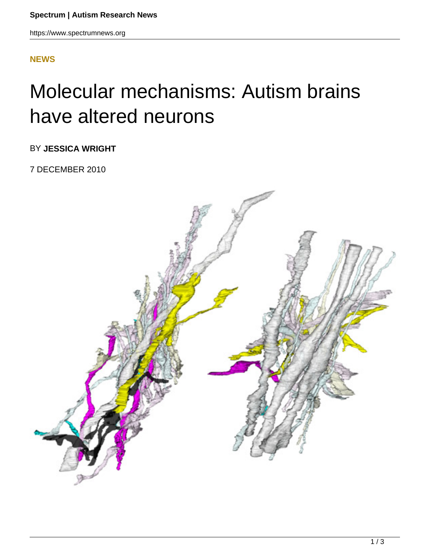## **[NEWS](HTTPS://WWW.SPECTRUMNEWS.ORG/NEWS/)**

## Molecular mechanisms: Autism brains have altered neurons

BY **JESSICA WRIGHT**

7 DECEMBER 2010

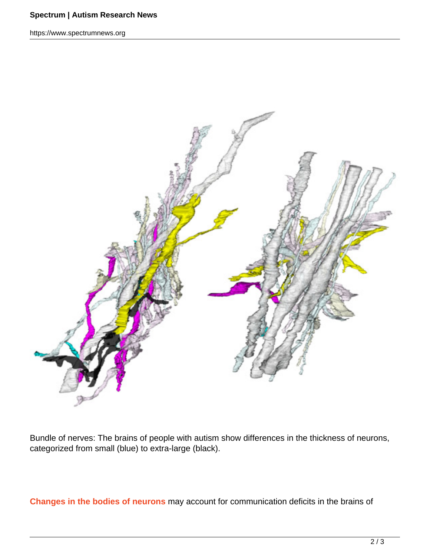## **Spectrum | Autism Research News**

https://www.spectrumnews.org



Bundle of nerves: The brains of people with autism show differences in the thickness of neurons, categorized from small (blue) to extra-large (black).

**Changes in the bodies of neurons** may account for communication deficits in the brains of